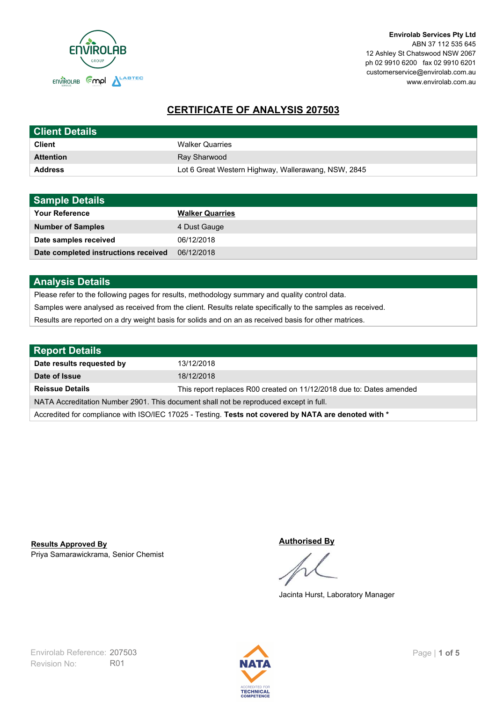

# **CERTIFICATE OF ANALYSIS 207503**

| <b>Client Details</b> |                                                     |
|-----------------------|-----------------------------------------------------|
| <b>Client</b>         | <b>Walker Quarries</b>                              |
| <b>Attention</b>      | Ray Sharwood                                        |
| <b>Address</b>        | Lot 6 Great Western Highway, Wallerawang, NSW, 2845 |

| <b>Sample Details</b>                |                        |
|--------------------------------------|------------------------|
| <b>Your Reference</b>                | <b>Walker Quarries</b> |
| <b>Number of Samples</b>             | 4 Dust Gauge           |
| Date samples received                | 06/12/2018             |
| Date completed instructions received | 06/12/2018             |

## **Analysis Details**

Please refer to the following pages for results, methodology summary and quality control data.

Samples were analysed as received from the client. Results relate specifically to the samples as received.

Results are reported on a dry weight basis for solids and on an as received basis for other matrices.

| <b>Report Details</b>                                                                                |                                                                      |  |
|------------------------------------------------------------------------------------------------------|----------------------------------------------------------------------|--|
| Date results requested by                                                                            | 13/12/2018                                                           |  |
| Date of Issue                                                                                        | 18/12/2018                                                           |  |
| <b>Reissue Details</b>                                                                               | This report replaces R00 created on 11/12/2018 due to: Dates amended |  |
| NATA Accreditation Number 2901. This document shall not be reproduced except in full.                |                                                                      |  |
| Accredited for compliance with ISO/IEC 17025 - Testing. Tests not covered by NATA are denoted with * |                                                                      |  |

Priya Samarawickrama, Senior Chemist **Results Approved By**

#### **Authorised By**

Jacinta Hurst, Laboratory Manager

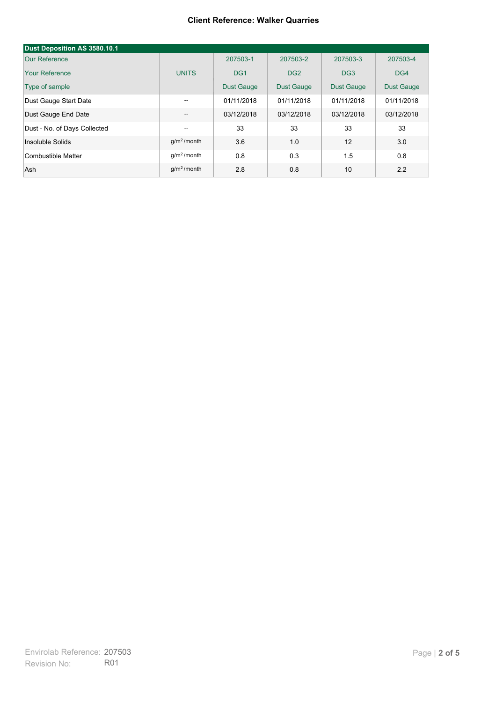#### **Client Reference: Walker Quarries**

| Dust Deposition AS 3580.10.1 |               |                   |                   |                   |                   |
|------------------------------|---------------|-------------------|-------------------|-------------------|-------------------|
| Our Reference                |               | 207503-1          | 207503-2          | 207503-3          | 207503-4          |
| Your Reference               | <b>UNITS</b>  | DG <sub>1</sub>   | DG <sub>2</sub>   | DG <sub>3</sub>   | DG4               |
| Type of sample               |               | <b>Dust Gauge</b> | <b>Dust Gauge</b> | <b>Dust Gauge</b> | <b>Dust Gauge</b> |
| Dust Gauge Start Date        | $- -$         | 01/11/2018        | 01/11/2018        | 01/11/2018        | 01/11/2018        |
| Dust Gauge End Date          | --            | 03/12/2018        | 03/12/2018        | 03/12/2018        | 03/12/2018        |
| Dust - No. of Days Collected | --            | 33                | 33                | 33                | 33                |
| Insoluble Solids             | $q/m2$ /month | 3.6               | 1.0               | 12                | 3.0               |
| Combustible Matter           | $q/m2$ /month | 0.8               | 0.3               | 1.5               | 0.8               |
| Ash                          | $q/m2$ /month | 2.8               | 0.8               | 10                | 2.2               |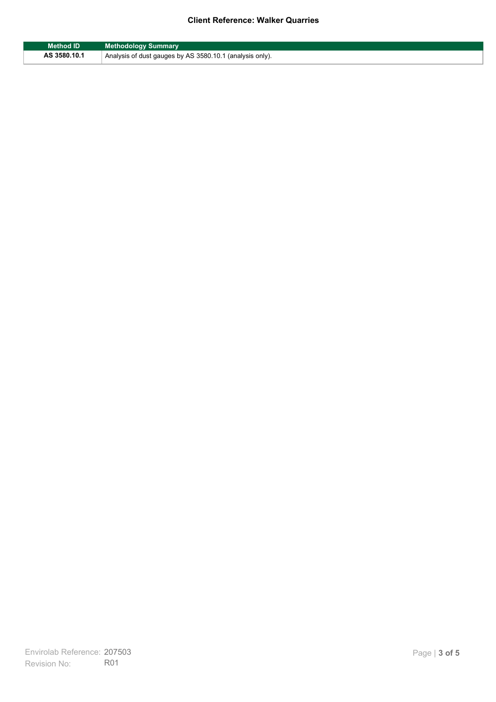## **Client Reference: Walker Quarries**

| <b>Method ID</b> | <b>Methodology Summary</b>                               |
|------------------|----------------------------------------------------------|
| AS 3580.10.1     | Analysis of dust gauges by AS 3580.10.1 (analysis only). |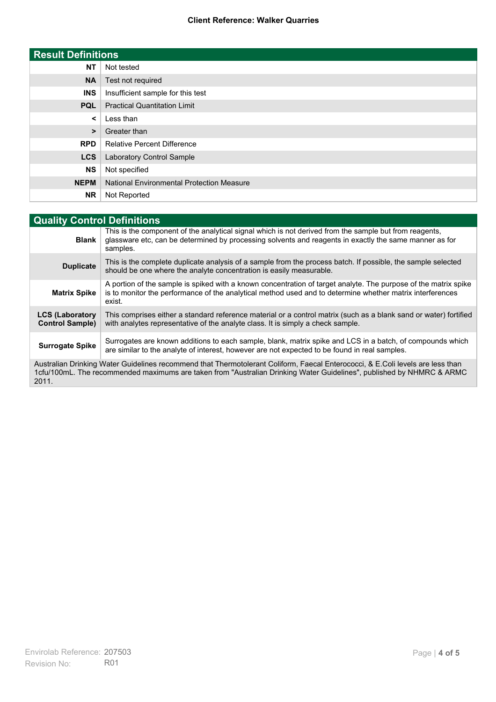### **Client Reference: Walker Quarries**

| <b>Result Definitions</b> |                                                  |
|---------------------------|--------------------------------------------------|
| <b>NT</b>                 | Not tested                                       |
| <b>NA</b>                 | Test not required                                |
| <b>INS</b>                | Insufficient sample for this test                |
| <b>PQL</b>                | <b>Practical Quantitation Limit</b>              |
| $\prec$                   | Less than                                        |
| $\geq$                    | Greater than                                     |
| <b>RPD</b>                | <b>Relative Percent Difference</b>               |
| <b>LCS</b>                | Laboratory Control Sample                        |
| <b>NS</b>                 | Not specified                                    |
| <b>NEPM</b>               | <b>National Environmental Protection Measure</b> |
| <b>NR</b>                 | Not Reported                                     |

| <b>Quality Control Definitions</b>                                                                                                                                                                                                                      |                                                                                                                                                                                                                                        |  |
|---------------------------------------------------------------------------------------------------------------------------------------------------------------------------------------------------------------------------------------------------------|----------------------------------------------------------------------------------------------------------------------------------------------------------------------------------------------------------------------------------------|--|
| <b>Blank</b>                                                                                                                                                                                                                                            | This is the component of the analytical signal which is not derived from the sample but from reagents.<br>glassware etc, can be determined by processing solvents and reagents in exactly the same manner as for<br>samples.           |  |
| <b>Duplicate</b>                                                                                                                                                                                                                                        | This is the complete duplicate analysis of a sample from the process batch. If possible, the sample selected<br>should be one where the analyte concentration is easily measurable.                                                    |  |
| <b>Matrix Spike</b>                                                                                                                                                                                                                                     | A portion of the sample is spiked with a known concentration of target analyte. The purpose of the matrix spike<br>is to monitor the performance of the analytical method used and to determine whether matrix interferences<br>exist. |  |
| <b>LCS (Laboratory</b><br><b>Control Sample)</b>                                                                                                                                                                                                        | This comprises either a standard reference material or a control matrix (such as a blank sand or water) fortified<br>with analytes representative of the analyte class. It is simply a check sample.                                   |  |
| <b>Surrogate Spike</b>                                                                                                                                                                                                                                  | Surrogates are known additions to each sample, blank, matrix spike and LCS in a batch, of compounds which<br>are similar to the analyte of interest, however are not expected to be found in real samples.                             |  |
| Australian Drinking Water Guidelines recommend that Thermotolerant Coliform, Faecal Enterococci, & E.Coli levels are less than<br>1cfu/100mL. The recommended maximums are taken from "Australian Drinking Water Guidelines", published by NHMRC & ARMC |                                                                                                                                                                                                                                        |  |

2011.